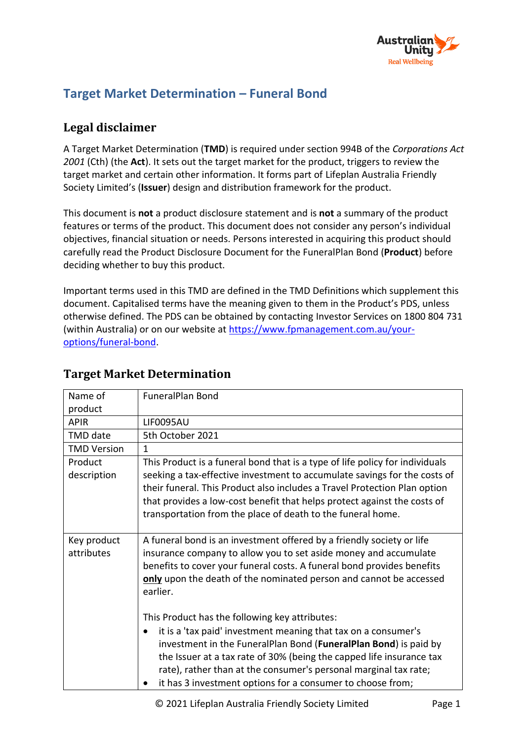

# **Target Market Determination – Funeral Bond**

## **Legal disclaimer**

A Target Market Determination (**TMD**) is required under section 994B of the *Corporations Act 2001* (Cth) (the **Act**). It sets out the target market for the product, triggers to review the target market and certain other information. It forms part of Lifeplan Australia Friendly Society Limited's (**Issuer**) design and distribution framework for the product.

This document is **not** a product disclosure statement and is **not** a summary of the product features or terms of the product. This document does not consider any person's individual objectives, financial situation or needs. Persons interested in acquiring this product should carefully read the Product Disclosure Document for the FuneralPlan Bond (**Product**) before deciding whether to buy this product.

Important terms used in this TMD are defined in the TMD Definitions which supplement this document. Capitalised terms have the meaning given to them in the Product's PDS, unless otherwise defined. The PDS can be obtained by contacting Investor Services on 1800 804 731 (within Australia) or on our website at [https://www.fpmanagement.com.au/your](https://www.fpmanagement.com.au/your-options/funeral-bond)[options/funeral-bond.](https://www.fpmanagement.com.au/your-options/funeral-bond)

| Name of                   | <b>FuneralPlan Bond</b>                                                                                                                                                                                                                                                                                                                                                                        |
|---------------------------|------------------------------------------------------------------------------------------------------------------------------------------------------------------------------------------------------------------------------------------------------------------------------------------------------------------------------------------------------------------------------------------------|
| product                   |                                                                                                                                                                                                                                                                                                                                                                                                |
| <b>APIR</b>               | LIF0095AU                                                                                                                                                                                                                                                                                                                                                                                      |
| <b>TMD</b> date           | 5th October 2021                                                                                                                                                                                                                                                                                                                                                                               |
| <b>TMD Version</b>        | 1                                                                                                                                                                                                                                                                                                                                                                                              |
| Product<br>description    | This Product is a funeral bond that is a type of life policy for individuals<br>seeking a tax-effective investment to accumulate savings for the costs of<br>their funeral. This Product also includes a Travel Protection Plan option<br>that provides a low-cost benefit that helps protect against the costs of<br>transportation from the place of death to the funeral home.              |
| Key product<br>attributes | A funeral bond is an investment offered by a friendly society or life<br>insurance company to allow you to set aside money and accumulate<br>benefits to cover your funeral costs. A funeral bond provides benefits<br>only upon the death of the nominated person and cannot be accessed<br>earlier.                                                                                          |
|                           | This Product has the following key attributes:<br>it is a 'tax paid' investment meaning that tax on a consumer's<br>investment in the FuneralPlan Bond (FuneralPlan Bond) is paid by<br>the Issuer at a tax rate of 30% (being the capped life insurance tax<br>rate), rather than at the consumer's personal marginal tax rate;<br>it has 3 investment options for a consumer to choose from; |

## **Target Market Determination**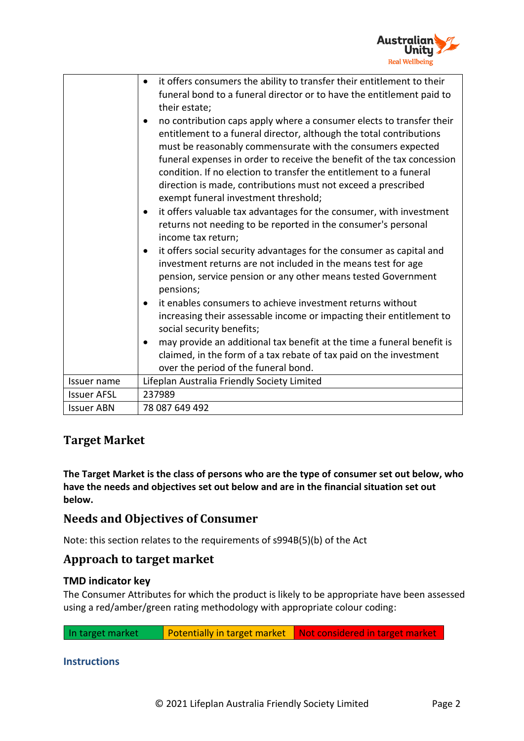

|                    | it offers consumers the ability to transfer their entitlement to their<br>$\bullet$<br>funeral bond to a funeral director or to have the entitlement paid to<br>their estate;<br>no contribution caps apply where a consumer elects to transfer their<br>$\bullet$<br>entitlement to a funeral director, although the total contributions<br>must be reasonably commensurate with the consumers expected<br>funeral expenses in order to receive the benefit of the tax concession<br>condition. If no election to transfer the entitlement to a funeral<br>direction is made, contributions must not exceed a prescribed<br>exempt funeral investment threshold;<br>it offers valuable tax advantages for the consumer, with investment<br>$\bullet$<br>returns not needing to be reported in the consumer's personal<br>income tax return;<br>it offers social security advantages for the consumer as capital and<br>٠<br>investment returns are not included in the means test for age<br>pension, service pension or any other means tested Government<br>pensions;<br>it enables consumers to achieve investment returns without<br>$\bullet$<br>increasing their assessable income or impacting their entitlement to<br>social security benefits;<br>may provide an additional tax benefit at the time a funeral benefit is<br>claimed, in the form of a tax rebate of tax paid on the investment<br>over the period of the funeral bond. |
|--------------------|--------------------------------------------------------------------------------------------------------------------------------------------------------------------------------------------------------------------------------------------------------------------------------------------------------------------------------------------------------------------------------------------------------------------------------------------------------------------------------------------------------------------------------------------------------------------------------------------------------------------------------------------------------------------------------------------------------------------------------------------------------------------------------------------------------------------------------------------------------------------------------------------------------------------------------------------------------------------------------------------------------------------------------------------------------------------------------------------------------------------------------------------------------------------------------------------------------------------------------------------------------------------------------------------------------------------------------------------------------------------------------------------------------------------------------------------------|
| Issuer name        | Lifeplan Australia Friendly Society Limited                                                                                                                                                                                                                                                                                                                                                                                                                                                                                                                                                                                                                                                                                                                                                                                                                                                                                                                                                                                                                                                                                                                                                                                                                                                                                                                                                                                                      |
| <b>Issuer AFSL</b> | 237989                                                                                                                                                                                                                                                                                                                                                                                                                                                                                                                                                                                                                                                                                                                                                                                                                                                                                                                                                                                                                                                                                                                                                                                                                                                                                                                                                                                                                                           |
| <b>Issuer ABN</b>  | 78 087 649 492                                                                                                                                                                                                                                                                                                                                                                                                                                                                                                                                                                                                                                                                                                                                                                                                                                                                                                                                                                                                                                                                                                                                                                                                                                                                                                                                                                                                                                   |

# **Target Market**

**The Target Market is the class of persons who are the type of consumer set out below, who have the needs and objectives set out below and are in the financial situation set out below.** 

## **Needs and Objectives of Consumer**

Note: this section relates to the requirements of s994B(5)(b) of the Act

### **Approach to target market**

### **TMD indicator key**

The Consumer Attributes for which the product is likely to be appropriate have been assessed using a red/amber/green rating methodology with appropriate colour coding:

In target market **Potentially in target market** Not considered in target market

#### **Instructions**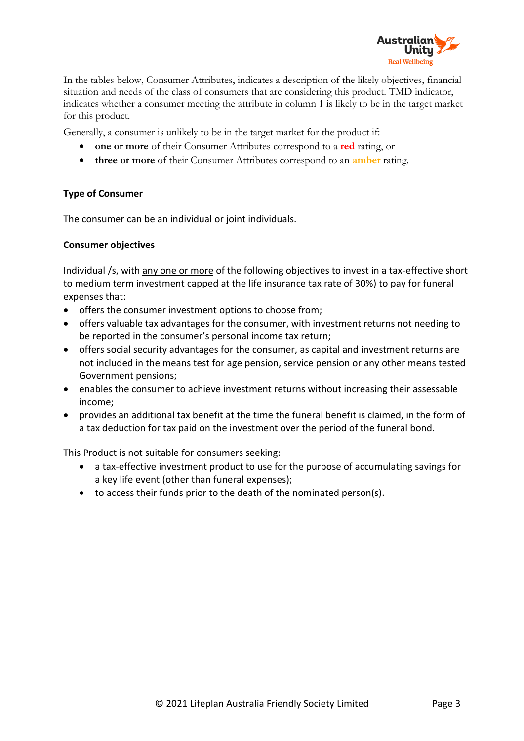

In the tables below, Consumer Attributes, indicates a description of the likely objectives, financial situation and needs of the class of consumers that are considering this product. TMD indicator, indicates whether a consumer meeting the attribute in column 1 is likely to be in the target market for this product.

Generally, a consumer is unlikely to be in the target market for the product if:

- **one or more** of their Consumer Attributes correspond to a **red** rating, or
- **three or more** of their Consumer Attributes correspond to an **amber** rating.

#### **Type of Consumer**

The consumer can be an individual or joint individuals.

#### **Consumer objectives**

Individual /s, with any one or more of the following objectives to invest in a tax-effective short to medium term investment capped at the life insurance tax rate of 30%) to pay for funeral expenses that:

- offers the consumer investment options to choose from;
- offers valuable tax advantages for the consumer, with investment returns not needing to be reported in the consumer's personal income tax return;
- offers social security advantages for the consumer, as capital and investment returns are not included in the means test for age pension, service pension or any other means tested Government pensions;
- enables the consumer to achieve investment returns without increasing their assessable income;
- provides an additional tax benefit at the time the funeral benefit is claimed, in the form of a tax deduction for tax paid on the investment over the period of the funeral bond.

This Product is not suitable for consumers seeking:

- a tax-effective investment product to use for the purpose of accumulating savings for a key life event (other than funeral expenses);
- to access their funds prior to the death of the nominated person(s).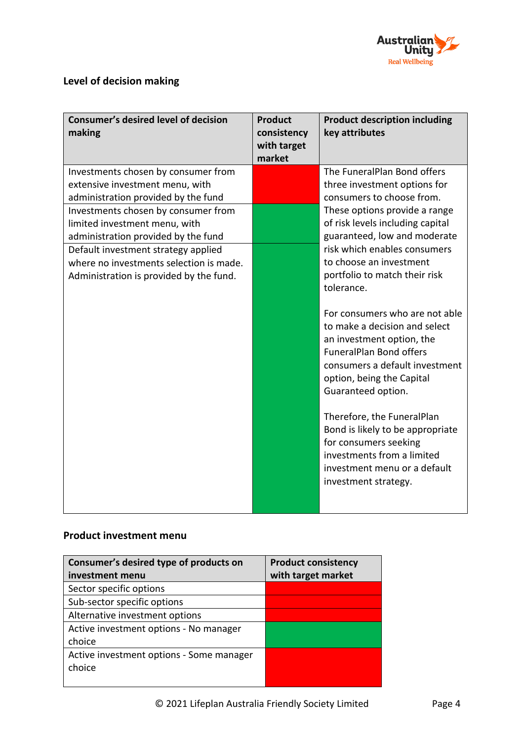

# **Level of decision making**

| <b>Consumer's desired level of decision</b><br>making                | <b>Product</b><br>consistency<br>with target<br>market | <b>Product description including</b><br>key attributes                                                                                                                                                                                                                                                                                                                                               |
|----------------------------------------------------------------------|--------------------------------------------------------|------------------------------------------------------------------------------------------------------------------------------------------------------------------------------------------------------------------------------------------------------------------------------------------------------------------------------------------------------------------------------------------------------|
| Investments chosen by consumer from                                  |                                                        | The FuneralPlan Bond offers                                                                                                                                                                                                                                                                                                                                                                          |
| extensive investment menu, with                                      |                                                        | three investment options for                                                                                                                                                                                                                                                                                                                                                                         |
| administration provided by the fund                                  |                                                        | consumers to choose from.                                                                                                                                                                                                                                                                                                                                                                            |
| Investments chosen by consumer from<br>limited investment menu, with |                                                        | These options provide a range<br>of risk levels including capital                                                                                                                                                                                                                                                                                                                                    |
| administration provided by the fund                                  |                                                        | guaranteed, low and moderate                                                                                                                                                                                                                                                                                                                                                                         |
| Default investment strategy applied                                  |                                                        | risk which enables consumers                                                                                                                                                                                                                                                                                                                                                                         |
| where no investments selection is made.                              |                                                        | to choose an investment                                                                                                                                                                                                                                                                                                                                                                              |
| Administration is provided by the fund.                              |                                                        | portfolio to match their risk                                                                                                                                                                                                                                                                                                                                                                        |
|                                                                      |                                                        | tolerance.                                                                                                                                                                                                                                                                                                                                                                                           |
|                                                                      |                                                        | For consumers who are not able<br>to make a decision and select<br>an investment option, the<br><b>FuneralPlan Bond offers</b><br>consumers a default investment<br>option, being the Capital<br>Guaranteed option.<br>Therefore, the FuneralPlan<br>Bond is likely to be appropriate<br>for consumers seeking<br>investments from a limited<br>investment menu or a default<br>investment strategy. |

### **Product investment menu**

| Consumer's desired type of products on   | <b>Product consistency</b> |
|------------------------------------------|----------------------------|
| investment menu                          | with target market         |
| Sector specific options                  |                            |
| Sub-sector specific options              |                            |
| Alternative investment options           |                            |
| Active investment options - No manager   |                            |
| choice                                   |                            |
| Active investment options - Some manager |                            |
| choice                                   |                            |
|                                          |                            |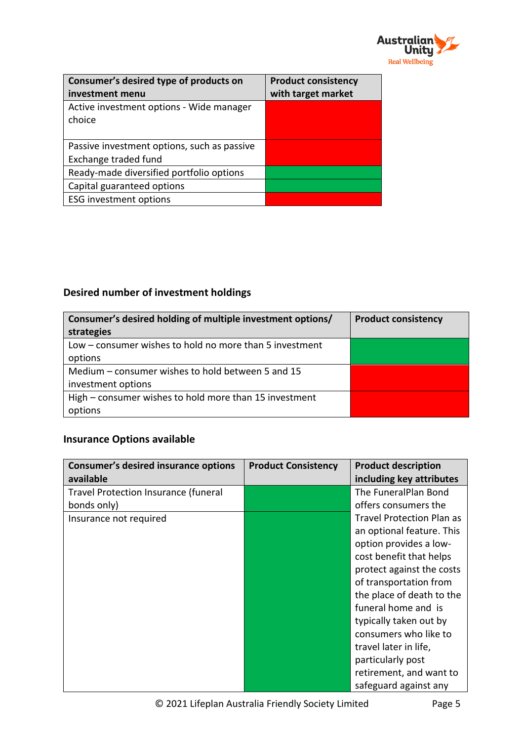

| Consumer's desired type of products on<br>investment menu           | <b>Product consistency</b><br>with target market |
|---------------------------------------------------------------------|--------------------------------------------------|
| Active investment options - Wide manager<br>choice                  |                                                  |
| Passive investment options, such as passive<br>Exchange traded fund |                                                  |
| Ready-made diversified portfolio options                            |                                                  |
| Capital guaranteed options                                          |                                                  |
| <b>ESG investment options</b>                                       |                                                  |

# **Desired number of investment holdings**

| Consumer's desired holding of multiple investment options/ | <b>Product consistency</b> |
|------------------------------------------------------------|----------------------------|
| strategies                                                 |                            |
| Low – consumer wishes to hold no more than 5 investment    |                            |
| options                                                    |                            |
| Medium – consumer wishes to hold between 5 and 15          |                            |
| investment options                                         |                            |
| High – consumer wishes to hold more than 15 investment     |                            |
| options                                                    |                            |

# **Insurance Options available**

| <b>Consumer's desired insurance options</b> | <b>Product Consistency</b> | <b>Product description</b>       |
|---------------------------------------------|----------------------------|----------------------------------|
| available                                   |                            | including key attributes         |
| <b>Travel Protection Insurance (funeral</b> |                            | The FuneralPlan Bond             |
| bonds only)                                 |                            | offers consumers the             |
| Insurance not required                      |                            | <b>Travel Protection Plan as</b> |
|                                             |                            | an optional feature. This        |
|                                             |                            | option provides a low-           |
|                                             |                            | cost benefit that helps          |
|                                             |                            | protect against the costs        |
|                                             |                            | of transportation from           |
|                                             |                            | the place of death to the        |
|                                             |                            | funeral home and is              |
|                                             |                            | typically taken out by           |
|                                             |                            | consumers who like to            |
|                                             |                            | travel later in life,            |
|                                             |                            | particularly post                |
|                                             |                            | retirement, and want to          |
|                                             |                            | safeguard against any            |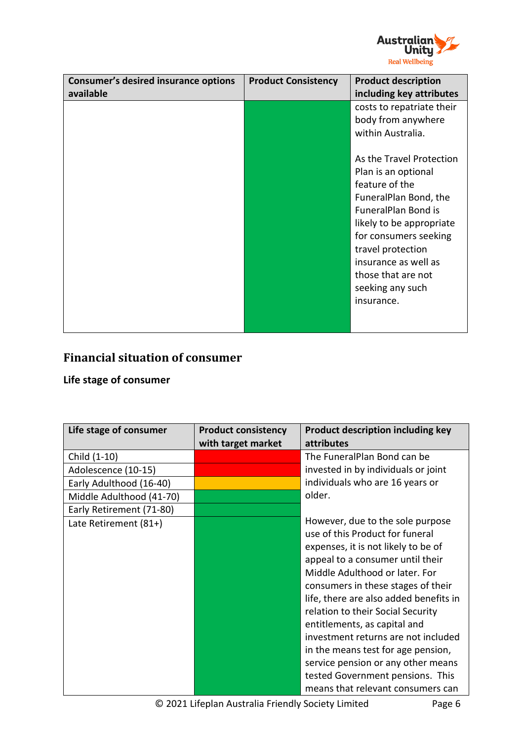

| <b>Consumer's desired insurance options</b><br>available | <b>Product Consistency</b> | <b>Product description</b><br>including key attributes                                                                                                                                                                                                                                                                                                     |
|----------------------------------------------------------|----------------------------|------------------------------------------------------------------------------------------------------------------------------------------------------------------------------------------------------------------------------------------------------------------------------------------------------------------------------------------------------------|
|                                                          |                            | costs to repatriate their<br>body from anywhere<br>within Australia.<br>As the Travel Protection<br>Plan is an optional<br>feature of the<br>FuneralPlan Bond, the<br><b>FuneralPlan Bond is</b><br>likely to be appropriate<br>for consumers seeking<br>travel protection<br>insurance as well as<br>those that are not<br>seeking any such<br>insurance. |
|                                                          |                            |                                                                                                                                                                                                                                                                                                                                                            |

# **Financial situation of consumer**

### **Life stage of consumer**

| Life stage of consumer   | <b>Product consistency</b><br>with target market | <b>Product description including key</b><br><b>attributes</b>                                                                                                                                                                                                                                                                                                                                                                                                                                                                     |
|--------------------------|--------------------------------------------------|-----------------------------------------------------------------------------------------------------------------------------------------------------------------------------------------------------------------------------------------------------------------------------------------------------------------------------------------------------------------------------------------------------------------------------------------------------------------------------------------------------------------------------------|
| Child (1-10)             |                                                  | The FuneralPlan Bond can be                                                                                                                                                                                                                                                                                                                                                                                                                                                                                                       |
| Adolescence (10-15)      |                                                  | invested in by individuals or joint                                                                                                                                                                                                                                                                                                                                                                                                                                                                                               |
| Early Adulthood (16-40)  |                                                  | individuals who are 16 years or                                                                                                                                                                                                                                                                                                                                                                                                                                                                                                   |
| Middle Adulthood (41-70) |                                                  | older.                                                                                                                                                                                                                                                                                                                                                                                                                                                                                                                            |
| Early Retirement (71-80) |                                                  |                                                                                                                                                                                                                                                                                                                                                                                                                                                                                                                                   |
| Late Retirement (81+)    |                                                  | However, due to the sole purpose<br>use of this Product for funeral<br>expenses, it is not likely to be of<br>appeal to a consumer until their<br>Middle Adulthood or later. For<br>consumers in these stages of their<br>life, there are also added benefits in<br>relation to their Social Security<br>entitlements, as capital and<br>investment returns are not included<br>in the means test for age pension,<br>service pension or any other means<br>tested Government pensions. This<br>means that relevant consumers can |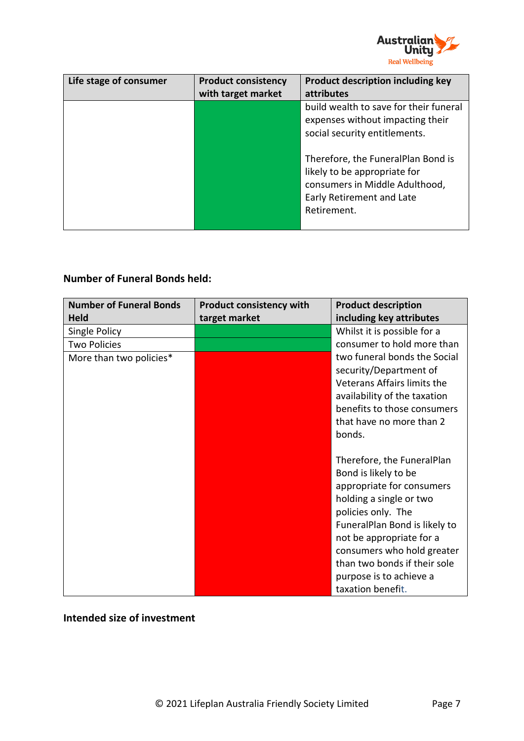

| Life stage of consumer | <b>Product consistency</b><br>with target market | Product description including key<br>attributes                                                                                                  |
|------------------------|--------------------------------------------------|--------------------------------------------------------------------------------------------------------------------------------------------------|
|                        |                                                  | build wealth to save for their funeral<br>expenses without impacting their                                                                       |
|                        |                                                  | social security entitlements.                                                                                                                    |
|                        |                                                  | Therefore, the FuneralPlan Bond is<br>likely to be appropriate for<br>consumers in Middle Adulthood,<br>Early Retirement and Late<br>Retirement. |

### **Number of Funeral Bonds held:**

| <b>Number of Funeral Bonds</b> | <b>Product consistency with</b> | <b>Product description</b>    |
|--------------------------------|---------------------------------|-------------------------------|
| <b>Held</b>                    | target market                   | including key attributes      |
| Single Policy                  |                                 | Whilst it is possible for a   |
| <b>Two Policies</b>            |                                 | consumer to hold more than    |
| More than two policies*        |                                 | two funeral bonds the Social  |
|                                |                                 | security/Department of        |
|                                |                                 | Veterans Affairs limits the   |
|                                |                                 | availability of the taxation  |
|                                |                                 | benefits to those consumers   |
|                                |                                 | that have no more than 2      |
|                                |                                 | bonds.                        |
|                                |                                 |                               |
|                                |                                 | Therefore, the FuneralPlan    |
|                                |                                 | Bond is likely to be          |
|                                |                                 | appropriate for consumers     |
|                                |                                 | holding a single or two       |
|                                |                                 | policies only. The            |
|                                |                                 | FuneralPlan Bond is likely to |
|                                |                                 | not be appropriate for a      |
|                                |                                 | consumers who hold greater    |
|                                |                                 | than two bonds if their sole  |
|                                |                                 | purpose is to achieve a       |
|                                |                                 | taxation benefit.             |

## **Intended size of investment**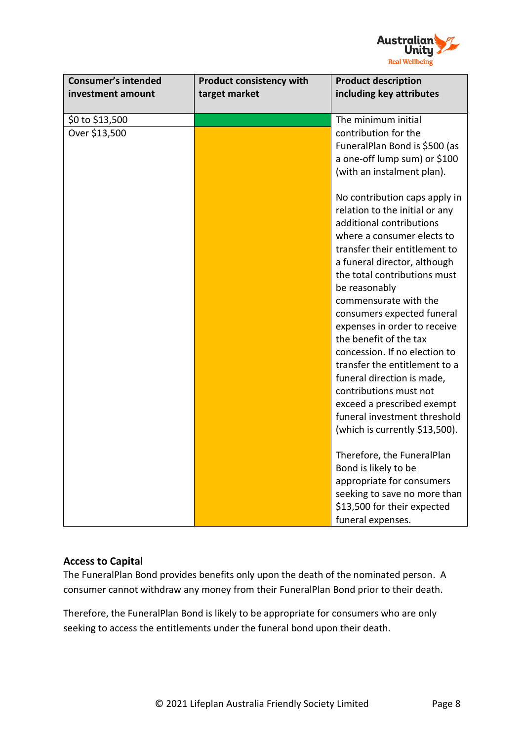

| <b>Consumer's intended</b><br>investment amount | <b>Product consistency with</b><br>target market | <b>Product description</b><br>including key attributes         |
|-------------------------------------------------|--------------------------------------------------|----------------------------------------------------------------|
| \$0 to \$13,500                                 |                                                  | The minimum initial                                            |
| Over \$13,500                                   |                                                  | contribution for the                                           |
|                                                 |                                                  | FuneralPlan Bond is \$500 (as                                  |
|                                                 |                                                  | a one-off lump sum) or \$100                                   |
|                                                 |                                                  | (with an instalment plan).                                     |
|                                                 |                                                  | No contribution caps apply in                                  |
|                                                 |                                                  | relation to the initial or any                                 |
|                                                 |                                                  | additional contributions                                       |
|                                                 |                                                  | where a consumer elects to                                     |
|                                                 |                                                  | transfer their entitlement to<br>a funeral director, although  |
|                                                 |                                                  | the total contributions must                                   |
|                                                 |                                                  | be reasonably                                                  |
|                                                 |                                                  | commensurate with the                                          |
|                                                 |                                                  | consumers expected funeral                                     |
|                                                 |                                                  | expenses in order to receive                                   |
|                                                 |                                                  | the benefit of the tax                                         |
|                                                 |                                                  | concession. If no election to<br>transfer the entitlement to a |
|                                                 |                                                  | funeral direction is made,                                     |
|                                                 |                                                  | contributions must not                                         |
|                                                 |                                                  | exceed a prescribed exempt                                     |
|                                                 |                                                  | funeral investment threshold                                   |
|                                                 |                                                  | (which is currently \$13,500).                                 |
|                                                 |                                                  | Therefore, the FuneralPlan                                     |
|                                                 |                                                  | Bond is likely to be                                           |
|                                                 |                                                  | appropriate for consumers                                      |
|                                                 |                                                  | seeking to save no more than                                   |
|                                                 |                                                  | \$13,500 for their expected                                    |
|                                                 |                                                  | funeral expenses.                                              |

### **Access to Capital**

The FuneralPlan Bond provides benefits only upon the death of the nominated person. A consumer cannot withdraw any money from their FuneralPlan Bond prior to their death.

Therefore, the FuneralPlan Bond is likely to be appropriate for consumers who are only seeking to access the entitlements under the funeral bond upon their death.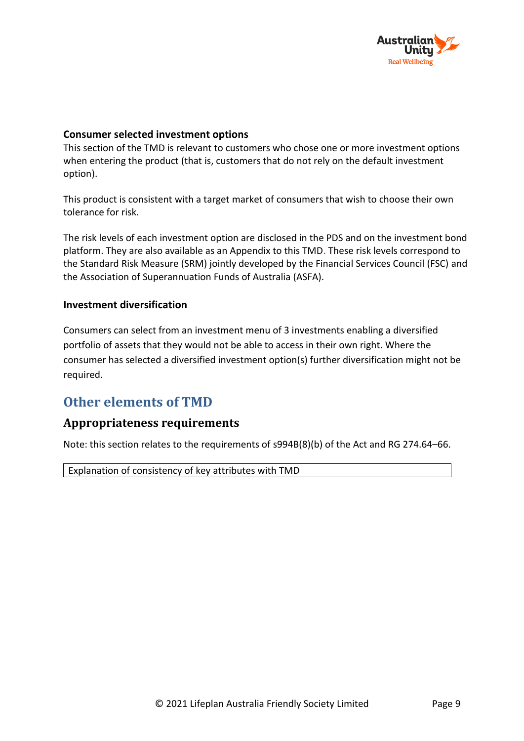

### **Consumer selected investment options**

This section of the TMD is relevant to customers who chose one or more investment options when entering the product (that is, customers that do not rely on the default investment option).

This product is consistent with a target market of consumers that wish to choose their own tolerance for risk.

The risk levels of each investment option are disclosed in the PDS and on the investment bond platform. They are also available as an Appendix to this TMD. These risk levels correspond to the Standard Risk Measure (SRM) jointly developed by the Financial Services Council (FSC) and the Association of Superannuation Funds of Australia (ASFA).

#### **Investment diversification**

Consumers can select from an investment menu of 3 investments enabling a diversified portfolio of assets that they would not be able to access in their own right. Where the consumer has selected a diversified investment option(s) further diversification might not be required.

# **Other elements of TMD**

### **Appropriateness requirements**

Note: this section relates to the requirements of s994B(8)(b) of the Act and RG 274.64–66.

Explanation of consistency of key attributes with TMD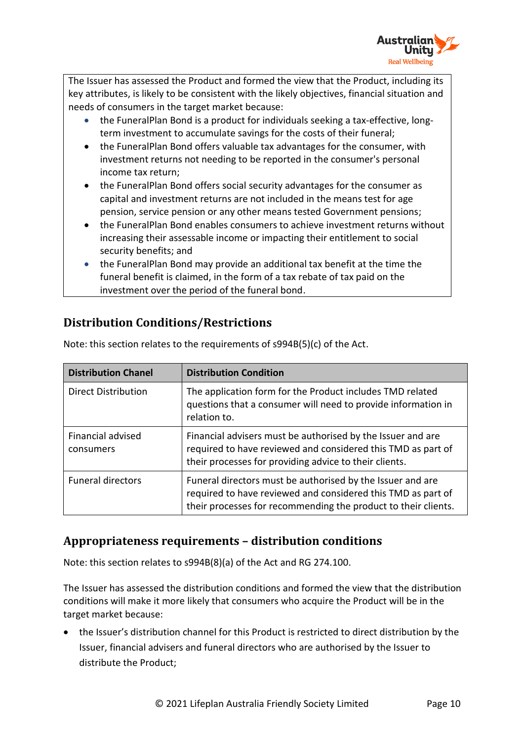

The Issuer has assessed the Product and formed the view that the Product, including its key attributes, is likely to be consistent with the likely objectives, financial situation and needs of consumers in the target market because:

- the FuneralPlan Bond is a product for individuals seeking a tax-effective, longterm investment to accumulate savings for the costs of their funeral;
- the FuneralPlan Bond offers valuable tax advantages for the consumer, with investment returns not needing to be reported in the consumer's personal income tax return;
- the FuneralPlan Bond offers social security advantages for the consumer as capital and investment returns are not included in the means test for age pension, service pension or any other means tested Government pensions;
- the FuneralPlan Bond enables consumers to achieve investment returns without increasing their assessable income or impacting their entitlement to social security benefits; and
- the FuneralPlan Bond may provide an additional tax benefit at the time the funeral benefit is claimed, in the form of a tax rebate of tax paid on the investment over the period of the funeral bond.

# **Distribution Conditions/Restrictions**

| <b>Distribution Chanel</b>     | <b>Distribution Condition</b>                                                                                                                                                                |
|--------------------------------|----------------------------------------------------------------------------------------------------------------------------------------------------------------------------------------------|
| <b>Direct Distribution</b>     | The application form for the Product includes TMD related<br>questions that a consumer will need to provide information in<br>relation to.                                                   |
| Financial advised<br>consumers | Financial advisers must be authorised by the Issuer and are<br>required to have reviewed and considered this TMD as part of<br>their processes for providing advice to their clients.        |
| <b>Funeral directors</b>       | Funeral directors must be authorised by the Issuer and are<br>required to have reviewed and considered this TMD as part of<br>their processes for recommending the product to their clients. |

Note: this section relates to the requirements of s994B(5)(c) of the Act.

# **Appropriateness requirements – distribution conditions**

Note: this section relates to s994B(8)(a) of the Act and RG 274.100.

The Issuer has assessed the distribution conditions and formed the view that the distribution conditions will make it more likely that consumers who acquire the Product will be in the target market because:

• the Issuer's distribution channel for this Product is restricted to direct distribution by the Issuer, financial advisers and funeral directors who are authorised by the Issuer to distribute the Product;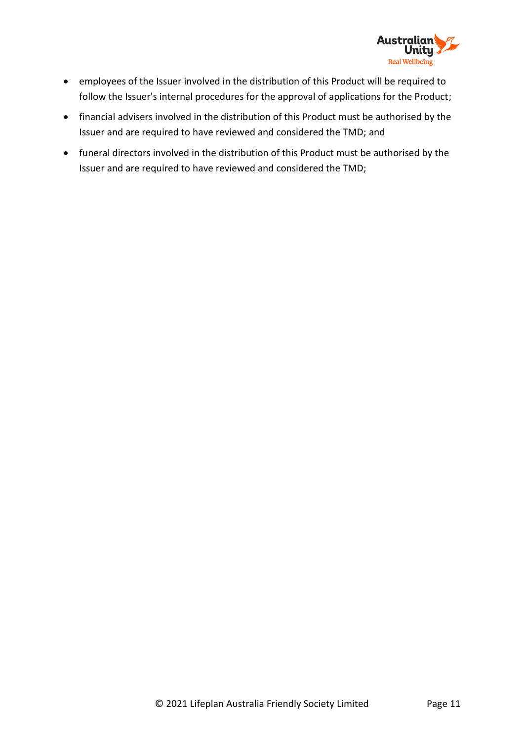

- employees of the Issuer involved in the distribution of this Product will be required to follow the Issuer's internal procedures for the approval of applications for the Product;
- financial advisers involved in the distribution of this Product must be authorised by the Issuer and are required to have reviewed and considered the TMD; and
- funeral directors involved in the distribution of this Product must be authorised by the Issuer and are required to have reviewed and considered the TMD;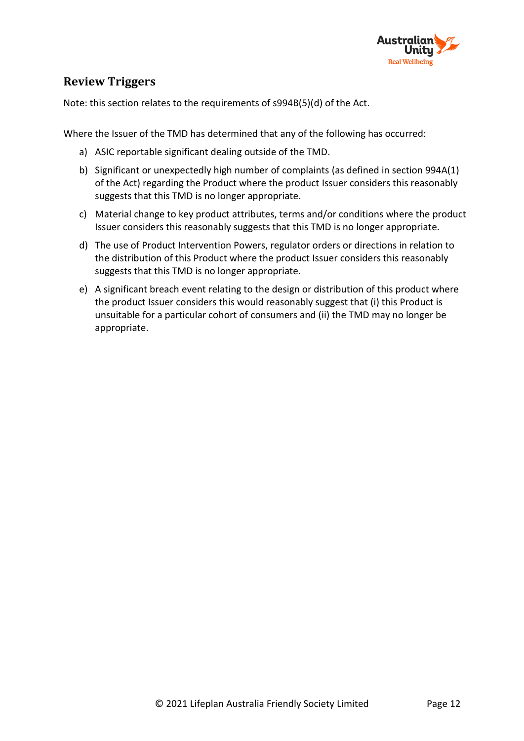

## **Review Triggers**

Note: this section relates to the requirements of s994B(5)(d) of the Act.

Where the Issuer of the TMD has determined that any of the following has occurred:

- a) ASIC reportable significant dealing outside of the TMD.
- b) Significant or unexpectedly high number of complaints (as defined in section 994A(1) of the Act) regarding the Product where the product Issuer considers this reasonably suggests that this TMD is no longer appropriate.
- c) Material change to key product attributes, terms and/or conditions where the product Issuer considers this reasonably suggests that this TMD is no longer appropriate.
- d) The use of Product Intervention Powers, regulator orders or directions in relation to the distribution of this Product where the product Issuer considers this reasonably suggests that this TMD is no longer appropriate.
- e) A significant breach event relating to the design or distribution of this product where the product Issuer considers this would reasonably suggest that (i) this Product is unsuitable for a particular cohort of consumers and (ii) the TMD may no longer be appropriate.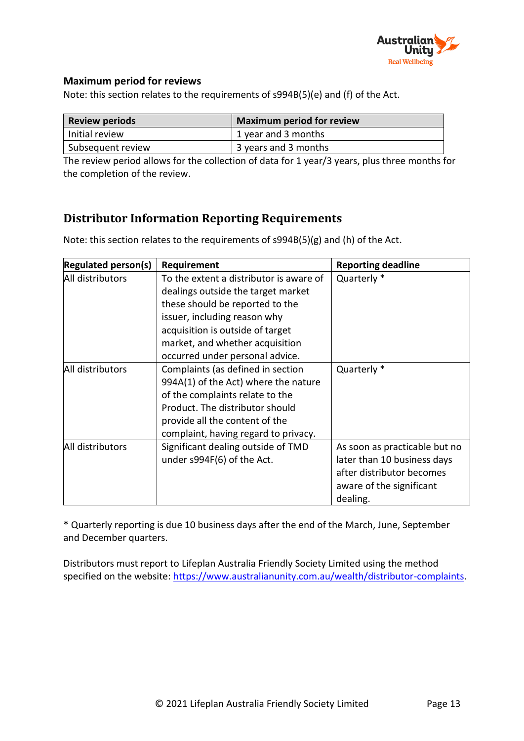

### **Maximum period for reviews**

Note: this section relates to the requirements of s994B(5)(e) and (f) of the Act.

| <b>Review periods</b> | <b>Maximum period for review</b> |
|-----------------------|----------------------------------|
| Initial review        | 1 year and 3 months              |
| Subsequent review     | 3 years and 3 months             |

The review period allows for the collection of data for 1 year/3 years, plus three months for the completion of the review.

## **Distributor Information Reporting Requirements**

Note: this section relates to the requirements of s994B(5)(g) and (h) of the Act.

| <b>Regulated person(s)</b> | Requirement                             | <b>Reporting deadline</b>     |
|----------------------------|-----------------------------------------|-------------------------------|
| All distributors           | To the extent a distributor is aware of | Quarterly *                   |
|                            | dealings outside the target market      |                               |
|                            | these should be reported to the         |                               |
|                            | issuer, including reason why            |                               |
|                            | acquisition is outside of target        |                               |
|                            | market, and whether acquisition         |                               |
|                            | occurred under personal advice.         |                               |
| All distributors           | Complaints (as defined in section       | Quarterly *                   |
|                            | 994A(1) of the Act) where the nature    |                               |
|                            | of the complaints relate to the         |                               |
|                            | Product. The distributor should         |                               |
|                            | provide all the content of the          |                               |
|                            | complaint, having regard to privacy.    |                               |
| All distributors           | Significant dealing outside of TMD      | As soon as practicable but no |
|                            | under s994F(6) of the Act.              | later than 10 business days   |
|                            |                                         | after distributor becomes     |
|                            |                                         | aware of the significant      |
|                            |                                         | dealing.                      |

\* Quarterly reporting is due 10 business days after the end of the March, June, September and December quarters.

Distributors must report to Lifeplan Australia Friendly Society Limited using the method specified on the website: [https://www.australianunity.com.au/wealth/distributor-complaints.](https://www.australianunity.com.au/wealth/distributor-complaints)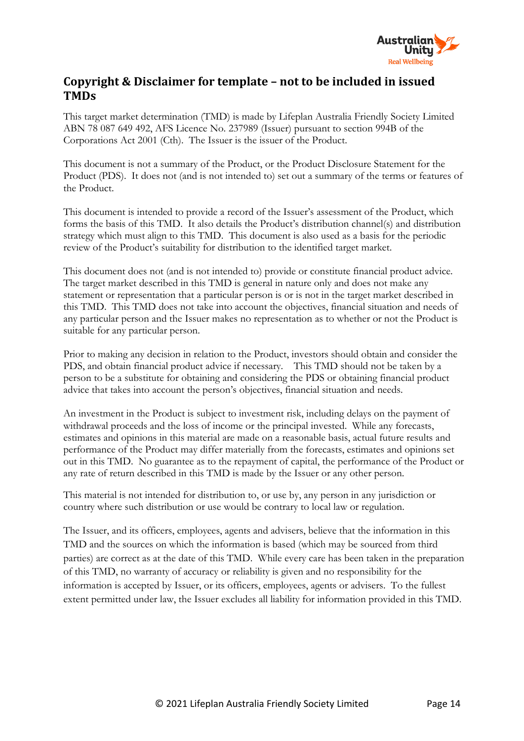

## **Copyright & Disclaimer for template – not to be included in issued TMDs**

This target market determination (TMD) is made by Lifeplan Australia Friendly Society Limited ABN 78 087 649 492, AFS Licence No. 237989 (Issuer) pursuant to section 994B of the Corporations Act 2001 (Cth). The Issuer is the issuer of the Product.

This document is not a summary of the Product, or the Product Disclosure Statement for the Product (PDS). It does not (and is not intended to) set out a summary of the terms or features of the Product.

This document is intended to provide a record of the Issuer's assessment of the Product, which forms the basis of this TMD. It also details the Product's distribution channel(s) and distribution strategy which must align to this TMD. This document is also used as a basis for the periodic review of the Product's suitability for distribution to the identified target market.

This document does not (and is not intended to) provide or constitute financial product advice. The target market described in this TMD is general in nature only and does not make any statement or representation that a particular person is or is not in the target market described in this TMD. This TMD does not take into account the objectives, financial situation and needs of any particular person and the Issuer makes no representation as to whether or not the Product is suitable for any particular person.

Prior to making any decision in relation to the Product, investors should obtain and consider the PDS, and obtain financial product advice if necessary. This TMD should not be taken by a person to be a substitute for obtaining and considering the PDS or obtaining financial product advice that takes into account the person's objectives, financial situation and needs.

An investment in the Product is subject to investment risk, including delays on the payment of withdrawal proceeds and the loss of income or the principal invested. While any forecasts, estimates and opinions in this material are made on a reasonable basis, actual future results and performance of the Product may differ materially from the forecasts, estimates and opinions set out in this TMD. No guarantee as to the repayment of capital, the performance of the Product or any rate of return described in this TMD is made by the Issuer or any other person.

This material is not intended for distribution to, or use by, any person in any jurisdiction or country where such distribution or use would be contrary to local law or regulation.

The Issuer, and its officers, employees, agents and advisers, believe that the information in this TMD and the sources on which the information is based (which may be sourced from third parties) are correct as at the date of this TMD. While every care has been taken in the preparation of this TMD, no warranty of accuracy or reliability is given and no responsibility for the information is accepted by Issuer, or its officers, employees, agents or advisers. To the fullest extent permitted under law, the Issuer excludes all liability for information provided in this TMD.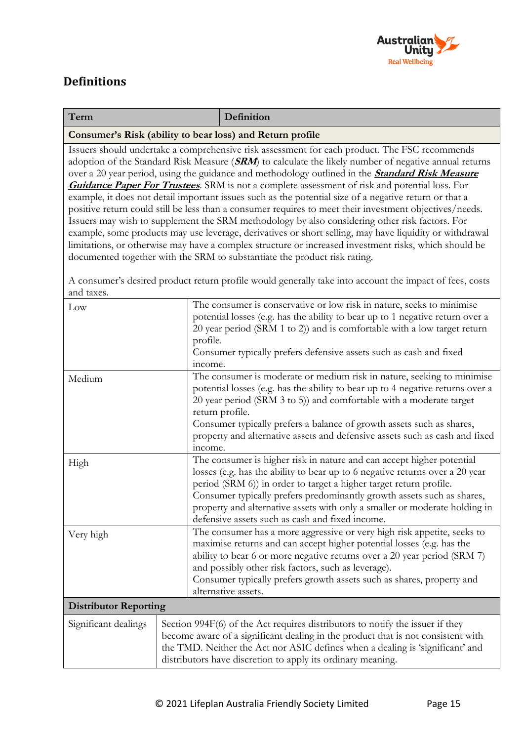

# **Definitions**

| Term                                                                                                    | Definition                                                                                              |  |
|---------------------------------------------------------------------------------------------------------|---------------------------------------------------------------------------------------------------------|--|
| Consumer's Risk (ability to bear loss) and Return profile                                               |                                                                                                         |  |
|                                                                                                         | Issuers should undertake a comprehensive risk assessment for each product. The FSC recommends           |  |
| adoption of the Standard Risk Measure (SRM) to calculate the likely number of negative annual returns   |                                                                                                         |  |
| over a 20 year period, using the guidance and methodology outlined in the <b>Standard Risk Measure</b>  |                                                                                                         |  |
| <b>Guidance Paper For Trustees</b> . SRM is not a complete assessment of risk and potential loss. For   |                                                                                                         |  |
| example, it does not detail important issues such as the potential size of a negative return or that a  |                                                                                                         |  |
| positive return could still be less than a consumer requires to meet their investment objectives/needs. |                                                                                                         |  |
| Issuers may wish to supplement the SRM methodology by also considering other risk factors. For          |                                                                                                         |  |
|                                                                                                         | example, some products may use leverage, derivatives or short selling, may have liquidity or withdrawal |  |
| limitations, or otherwise may have a complex structure or increased investment risks, which should be   |                                                                                                         |  |
|                                                                                                         | documented together with the SRM to substantiate the product risk rating.                               |  |

A consumer's desired product return profile would generally take into account the impact of fees, costs and taxes.

| The consumer is conservative or low risk in nature, seeks to minimise            |
|----------------------------------------------------------------------------------|
| potential losses (e.g. has the ability to bear up to 1 negative return over a    |
| 20 year period (SRM 1 to 2)) and is comfortable with a low target return         |
| profile.                                                                         |
| Consumer typically prefers defensive assets such as cash and fixed               |
| income.                                                                          |
| The consumer is moderate or medium risk in nature, seeking to minimise           |
| potential losses (e.g. has the ability to bear up to 4 negative returns over a   |
| 20 year period (SRM 3 to 5)) and comfortable with a moderate target              |
| return profile.                                                                  |
| Consumer typically prefers a balance of growth assets such as shares,            |
| property and alternative assets and defensive assets such as cash and fixed      |
| income.                                                                          |
| The consumer is higher risk in nature and can accept higher potential            |
| losses (e.g. has the ability to bear up to 6 negative returns over a 20 year     |
| period (SRM 6)) in order to target a higher target return profile.               |
| Consumer typically prefers predominantly growth assets such as shares,           |
| property and alternative assets with only a smaller or moderate holding in       |
| defensive assets such as cash and fixed income.                                  |
| The consumer has a more aggressive or very high risk appetite, seeks to          |
| maximise returns and can accept higher potential losses (e.g. has the            |
| ability to bear 6 or more negative returns over a 20 year period (SRM 7)         |
| and possibly other risk factors, such as leverage).                              |
| Consumer typically prefers growth assets such as shares, property and            |
| alternative assets.                                                              |
|                                                                                  |
| Section 994F(6) of the Act requires distributors to notify the issuer if they    |
| become aware of a significant dealing in the product that is not consistent with |
| the TMD. Neither the Act nor ASIC defines when a dealing is 'significant' and    |
| distributors have discretion to apply its ordinary meaning.                      |
|                                                                                  |